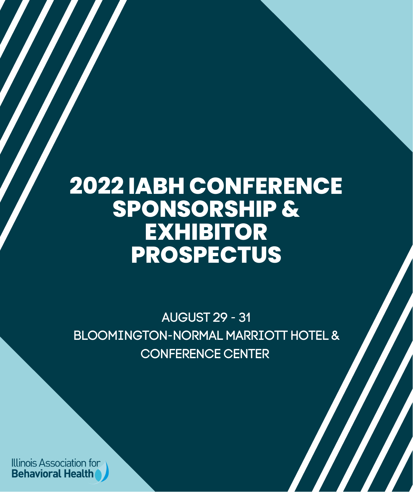# **2022 IABH CONFERENCE SPONSORSHIP & EXHIBITOR PROSPECTUS**

AUGUST 29 - 31 BLOOMINGTON-NORMAL MARRIOTT HOTEL & CONFERENCE CENTER

Illinois Association for **Behavioral Health**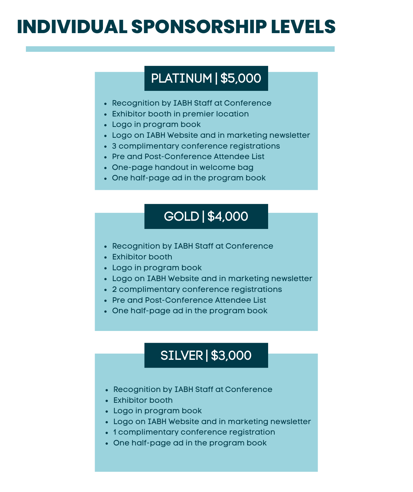## **INDIVIDUAL SPONSORSHIP LEVELS**

## PLATINUM | \$5,000

- Recognition by IABH Staff at Conference
- Exhibitor booth in premier location
- Logo in program book
- Logo on IABH Website and in marketing newsletter
- 3 complimentary conference registrations
- Pre and Post-Conference Attendee List
- One-page handout in welcome bag
- One half-page ad in the program book

#### GOLD | \$4,000

- Recognition by IABH Staff at Conference
- Exhibitor booth
- Logo in program book
- Logo on IABH Website and in marketing newsletter
- 2 complimentary conference registrations
- Pre and Post-Conference Attendee List
- One half-page ad in the program book

### SILVER | \$3,000

- Recognition by IABH Staff at Conference
- Exhibitor booth
- Logo in program book
- Logo on IABH Website and in marketing newsletter
- 1 complimentary conference registration
- One half-page ad in the program book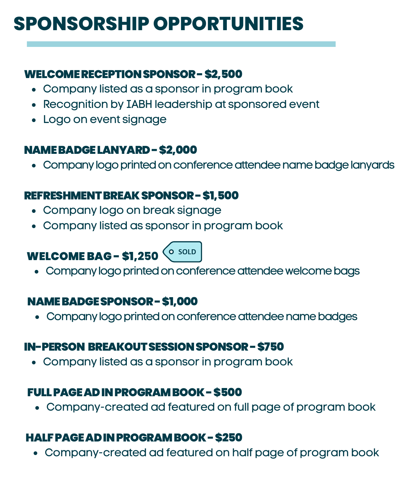## **SPONSORSHIP OPPORTUNITIES**

#### WELCOMERECEPTIONSPONSOR-\$2,500

- Company listed as a sponsor in program book
- Recognition by IABH leadership at sponsored event
- Logo on event signage

#### NAMEBADGELANYARD-\$2,000

• Company logo printed on conference attendee name badge lanyards

#### REFRESHMENT BREAK SPONSOR - \$1,500

- Company logo on break signage
- Company listed as sponsor in program book

### WELCOMEBAG - \$1,**250**



• Company logo printed on conference attendee welcome bags

#### NAMEBADGESPONSOR-\$1,000

• Company logo printed on conference attendee name badges

#### IN-PERSON BREAKOUTSESSIONSPONSOR-\$750

Company listed as a sponsor in program book

#### FULLPAGEADINPROGRAMBOOK-\$500

Company-created ad featured on full page of program book

#### HALFPAGEADINPROGRAMBOOK-\$250

Company-created ad featured on half page of program book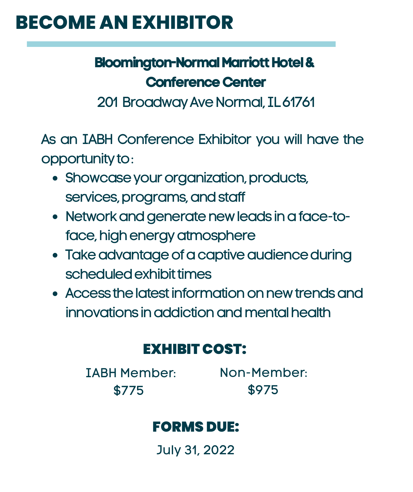## **BECOME AN EXHIBITOR**

## **Bloomington-Normal Marriott Hotel & Conference Center**

201 Broadway Ave Normal, IL61761

As an IABH Conference Exhibitor you will have the opportunity to:

- Showcase your organization, products, services, programs, and staff
- Network and generate new leads in a face-toface, high energy atmosphere
- Take advantage of a captive audience during scheduled exhibit times
- Access the latest information on new trends and innovations in addiction and mental health

### EXHIBIT COST:

IABH Member: \$775

Non-Member: \$975

### FORMS DUE:

July 31, 2022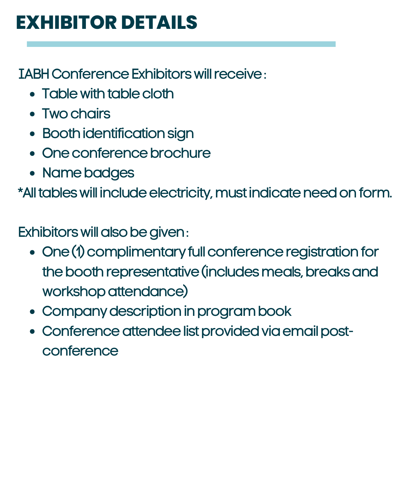## **EXHIBITOR DETAILS**

**IABH Conference Exhibitors will receive:** 

- Table with table cloth
- Two chairs
- Booth identification sign
- One conference brochure
- Name badges

\*All tables will include electricity, must indicate need on form.

Exhibitors will also be given:

- One (1) complimentary full conference registration for the booth representative (includes meals, breaks and workshop attendance)
- Company description in program book
- Conference attendee list provided via email postconference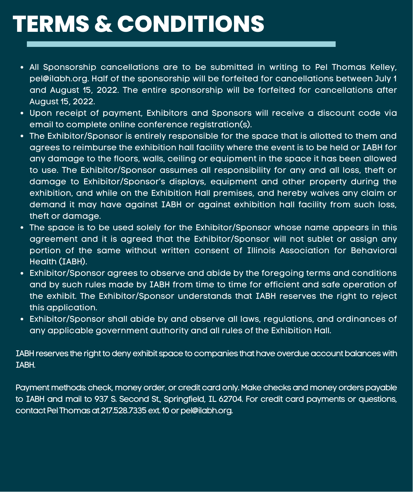# **TERMS & CONDITIONS**

- All Sponsorship cancellations are to be submitted in writing to Pel Thomas Kelley, pel@ilabh.org. Half of the sponsorship will be forfeited for cancellations between July 1 and August 15, 2022. The entire sponsorship will be forfeited for cancellations after August 15, 2022.
- Upon receipt of payment, Exhibitors and Sponsors will receive a discount code via email to complete online conference registration(s).
- The Exhibitor/Sponsor is entirely responsible for the space that is allotted to them and agrees to reimburse the exhibition hall facility where the event is to be held or IABH for any damage to the floors, walls, ceiling or equipment in the space it has been allowed to use. The Exhibitor/Sponsor assumes all responsibility for any and all loss, theft or damage to Exhibitor/Sponsor's displays, equipment and other property during the exhibition, and while on the Exhibition Hall premises, and hereby waives any claim or demand it may have against IABH or against exhibition hall facility from such loss, theft or damage.
- The space is to be used solely for the Exhibitor/Sponsor whose name appears in this agreement and it is agreed that the Exhibitor/Sponsor will not sublet or assign any portion of the same without written consent of Illinois Association for Behavioral Health (IABH).
- Exhibitor/Sponsor agrees to observe and abide by the foregoing terms and conditions and by such rules made by IABH from time to time for efficient and safe operation of the exhibit. The Exhibitor/Sponsor understands that IABH reserves the right to reject this application.
- Exhibitor/Sponsor shall abide by and observe all laws, regulations, and ordinances of any applicable government authority and all rules of the Exhibition Hall.

IABH reserves the right to deny exhibit space to companies that have overdue account balances with IABH.

Payment methods: check, money order, or credit card only. Make checks and money orders payable to IABH and mail to 937 S. Second St., Springfield, IL 62704. For credit card payments or questions, contact Pel Thomas at 217.528.7335 ext. 10 or pel@ilabh.org.